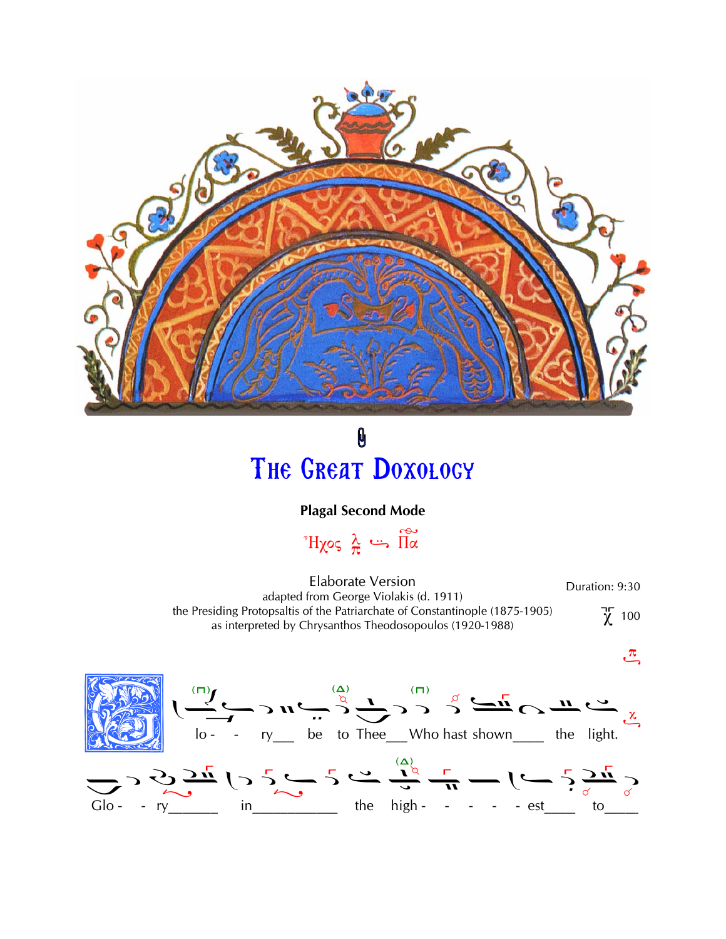

0 THE GREAT DOXOLOGY

## **Plagal Second Mode**

 $H\chi$ os  $\frac{\lambda}{\pi}$   $\cdots$   $\stackrel{\sim}{\Pi}\stackrel{\sim}{\alpha}$ 

**Elaborate Version** Duration: 9:30 adapted from George Violakis (d. 1911) the Presiding Protopsaltis of the Patriarchate of Constantinople (1875-1905)  $\chi$  100 as interpreted by Chrysanthos Theodosopoulos (1920-1988)

 $\mathfrak{L}$ 

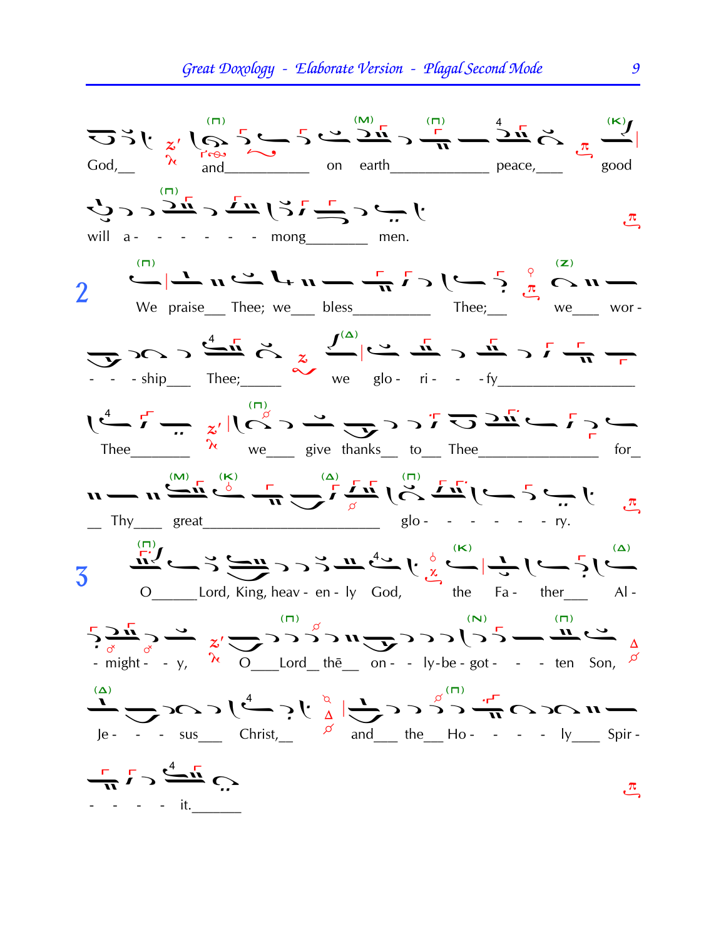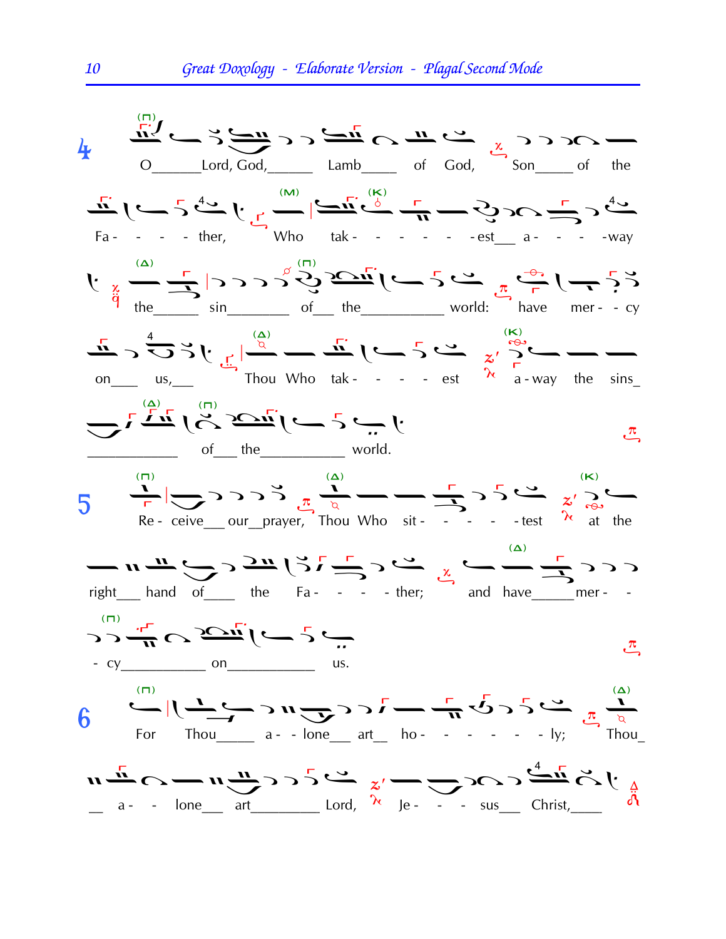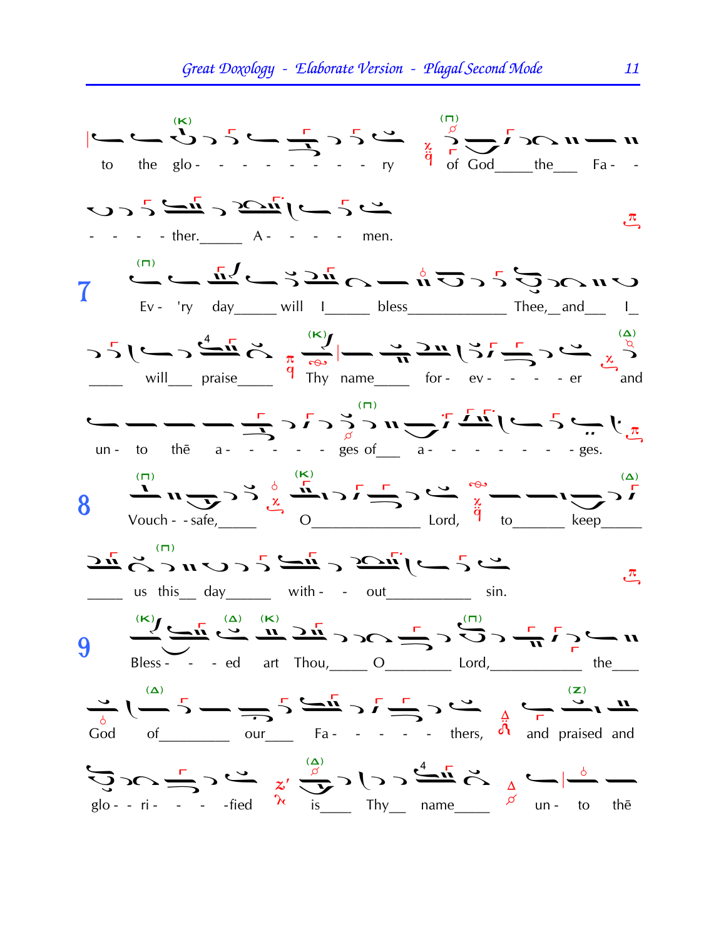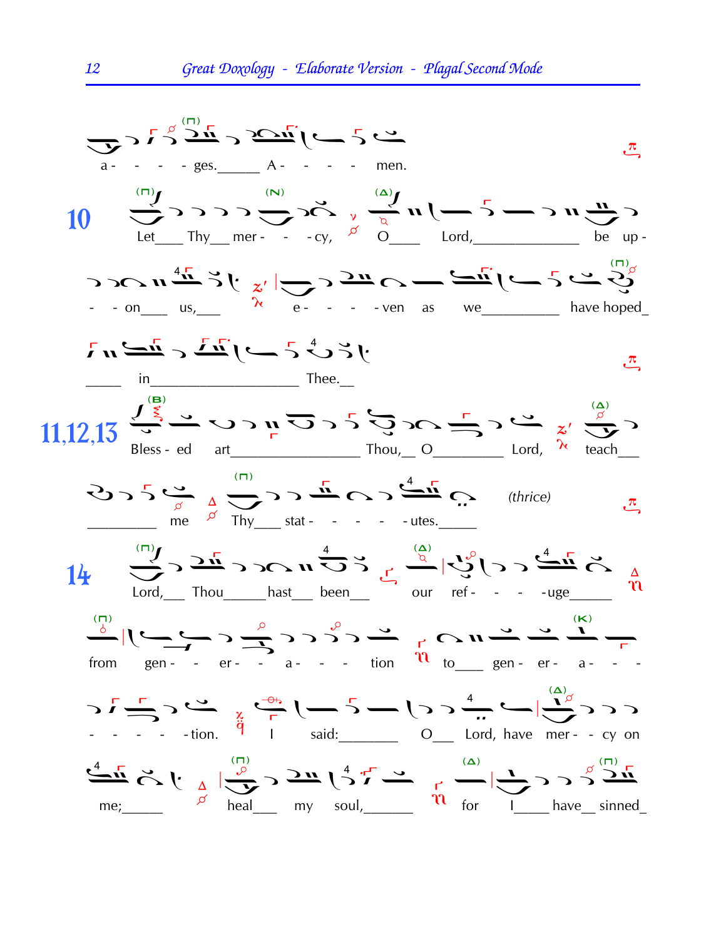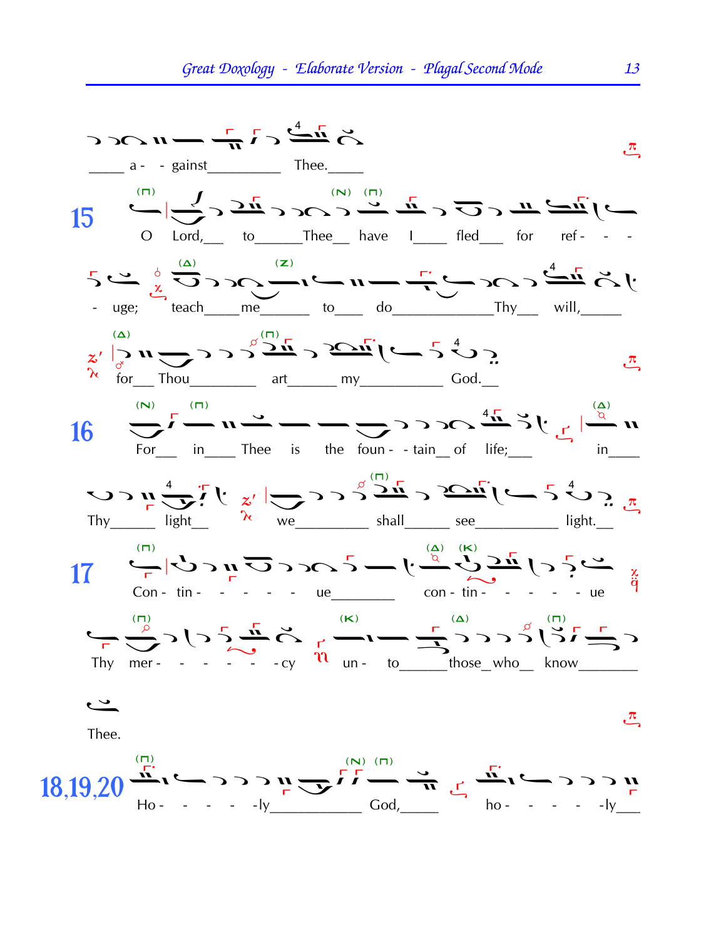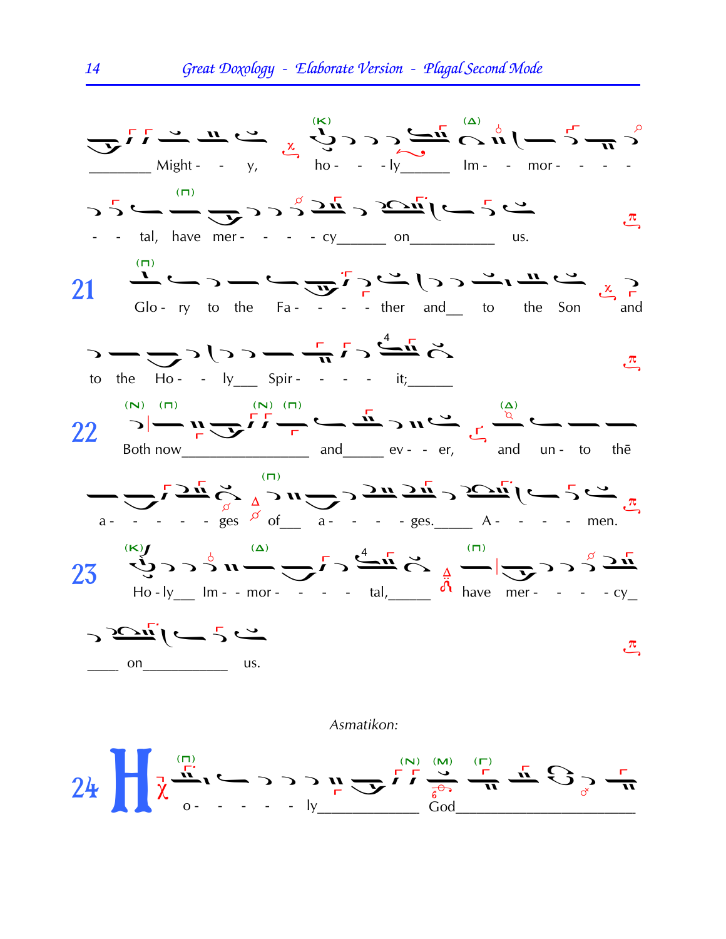

## Asmatikon: